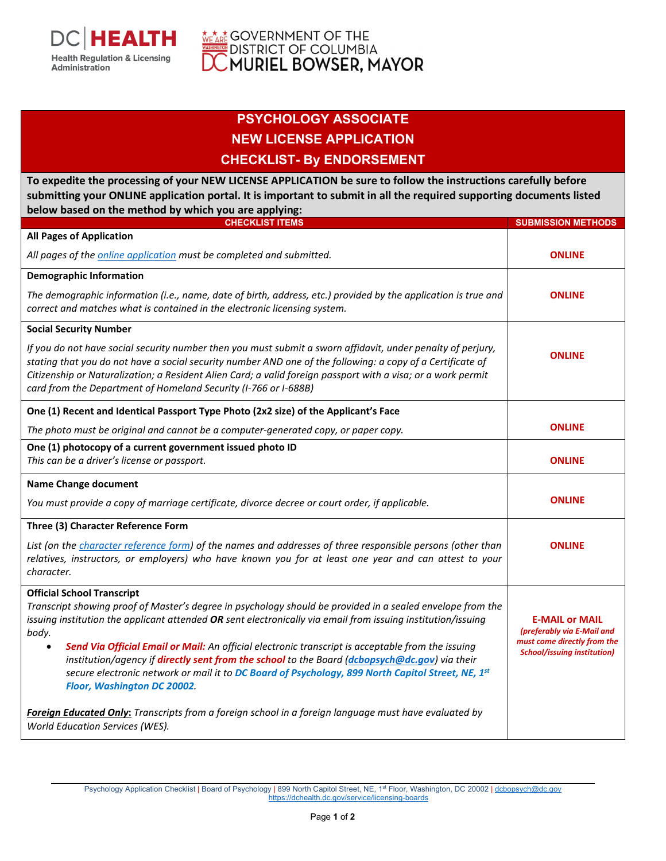

## **WEARE GOVERNMENT OF THE SOLUMBIA**<br>A BOSTRICT OF COLUMBIA<br>**DC MURIEL BOWSER, MAYOR**

## **PSYCHOLOGY ASSOCIATE NEW LICENSE APPLICATION CHECKLIST- By ENDORSEMENT**

**To expedite the processing of your NEW LICENSE APPLICATION be sure to follow the instructions carefully before submitting your ONLINE application portal. It is important to submit in all the required supporting documents listed below based on the method by which you are applying:**

| $\sim$<br>$\sim$ סייי ניקקש ביש מס<br><b>CHECKLIST ITEMS</b>                                                                                                                                                                                                                                                                                                                                                 | <b>SUBMISSION METHODS</b>                                                                                                |
|--------------------------------------------------------------------------------------------------------------------------------------------------------------------------------------------------------------------------------------------------------------------------------------------------------------------------------------------------------------------------------------------------------------|--------------------------------------------------------------------------------------------------------------------------|
| <b>All Pages of Application</b>                                                                                                                                                                                                                                                                                                                                                                              |                                                                                                                          |
| All pages of the <i>online application</i> must be completed and submitted.                                                                                                                                                                                                                                                                                                                                  | <b>ONLINE</b>                                                                                                            |
| <b>Demographic Information</b>                                                                                                                                                                                                                                                                                                                                                                               |                                                                                                                          |
| The demographic information (i.e., name, date of birth, address, etc.) provided by the application is true and<br>correct and matches what is contained in the electronic licensing system.                                                                                                                                                                                                                  | <b>ONLINE</b>                                                                                                            |
| <b>Social Security Number</b>                                                                                                                                                                                                                                                                                                                                                                                |                                                                                                                          |
| If you do not have social security number then you must submit a sworn affidavit, under penalty of perjury,<br>stating that you do not have a social security number AND one of the following: a copy of a Certificate of<br>Citizenship or Naturalization; a Resident Alien Card; a valid foreign passport with a visa; or a work permit<br>card from the Department of Homeland Security (I-766 or I-688B) | <b>ONLINE</b>                                                                                                            |
| One (1) Recent and Identical Passport Type Photo (2x2 size) of the Applicant's Face                                                                                                                                                                                                                                                                                                                          | <b>ONLINE</b>                                                                                                            |
| The photo must be original and cannot be a computer-generated copy, or paper copy.                                                                                                                                                                                                                                                                                                                           |                                                                                                                          |
| One (1) photocopy of a current government issued photo ID<br>This can be a driver's license or passport.                                                                                                                                                                                                                                                                                                     | <b>ONLINE</b>                                                                                                            |
| <b>Name Change document</b>                                                                                                                                                                                                                                                                                                                                                                                  |                                                                                                                          |
| You must provide a copy of marriage certificate, divorce decree or court order, if applicable.                                                                                                                                                                                                                                                                                                               | <b>ONLINE</b>                                                                                                            |
| Three (3) Character Reference Form                                                                                                                                                                                                                                                                                                                                                                           |                                                                                                                          |
| List (on the character reference form) of the names and addresses of three responsible persons (other than<br>relatives, instructors, or employers) who have known you for at least one year and can attest to your<br>character.                                                                                                                                                                            | <b>ONLINE</b>                                                                                                            |
| <b>Official School Transcript</b>                                                                                                                                                                                                                                                                                                                                                                            |                                                                                                                          |
| Transcript showing proof of Master's degree in psychology should be provided in a sealed envelope from the<br>issuing institution the applicant attended OR sent electronically via email from issuing institution/issuing<br>body.                                                                                                                                                                          | <b>E-MAIL or MAIL</b><br>(preferably via E-Mail and<br>must come directly from the<br><b>School/issuing institution)</b> |
| Send Via Official Email or Mail: An official electronic transcript is acceptable from the issuing<br>$\bullet$<br>institution/agency if directly sent from the school to the Board (dcbopsych@dc.gov) via their<br>secure electronic network or mail it to DC Board of Psychology, 899 North Capitol Street, NE, 1st<br>Floor, Washington DC 20002.                                                          |                                                                                                                          |
| Foreign Educated Only: Transcripts from a foreign school in a foreign language must have evaluated by<br>World Education Services (WES).                                                                                                                                                                                                                                                                     |                                                                                                                          |

Psychology Application Checklist | Board of Psychology | 899 North Capitol Street, NE, 1<sup>st</sup> Floor, Washington, DC 20002 | [dcbopsych@dc.gov](mailto:dcbopsych@dc.gov) <https://dchealth.dc.gov/service/licensing-boards>